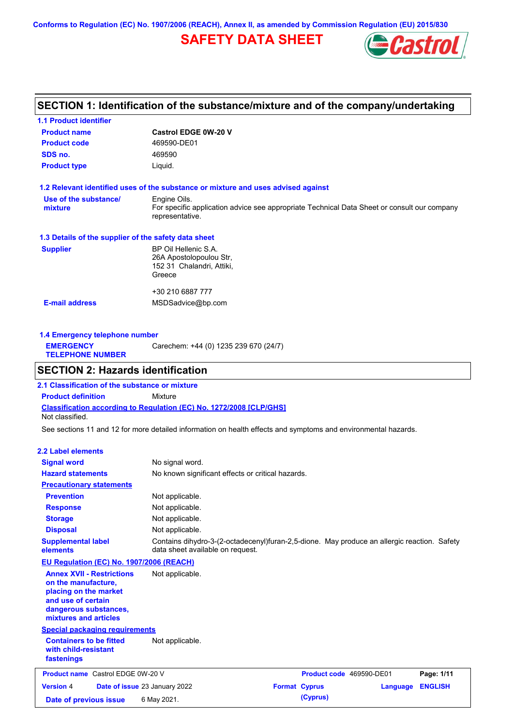**Conforms to Regulation (EC) No. 1907/2006 (REACH), Annex II, as amended by Commission Regulation (EU) 2015/830**

# **SAFETY DATA SHEET**



## **SECTION 1: Identification of the substance/mixture and of the company/undertaking**

| <b>1.1 Product identifier</b>                        |                                                                                                                |
|------------------------------------------------------|----------------------------------------------------------------------------------------------------------------|
| <b>Product name</b>                                  | <b>Castrol EDGE 0W-20 V</b>                                                                                    |
| <b>Product code</b>                                  | 469590-DE01                                                                                                    |
| SDS no.                                              | 469590                                                                                                         |
| <b>Product type</b>                                  | Liquid.                                                                                                        |
|                                                      | 1.2 Relevant identified uses of the substance or mixture and uses advised against                              |
| Use of the substance/                                | Engine Oils.                                                                                                   |
| mixture                                              | For specific application advice see appropriate Technical Data Sheet or consult our company<br>representative. |
| 1.3 Details of the supplier of the safety data sheet |                                                                                                                |
| <b>Supplier</b>                                      | BP Oil Hellenic S.A.                                                                                           |
|                                                      | 26A Apostolopoulou Str.                                                                                        |
|                                                      | 152 31 Chalandri, Attiki,                                                                                      |
|                                                      | Greece                                                                                                         |
|                                                      | +30 210 6887 777                                                                                               |
| <b>E-mail address</b>                                | MSDSadvice@bp.com                                                                                              |
|                                                      |                                                                                                                |
|                                                      |                                                                                                                |

| 1.4 Emergency telephone number              |                                       |  |  |  |
|---------------------------------------------|---------------------------------------|--|--|--|
| <b>EMERGENCY</b><br><b>TELEPHONE NUMBER</b> | Carechem: +44 (0) 1235 239 670 (24/7) |  |  |  |

## **SECTION 2: Hazards identification**

**Classification according to Regulation (EC) No. 1272/2008 [CLP/GHS] 2.1 Classification of the substance or mixture Product definition** Mixture Not classified.

See sections 11 and 12 for more detailed information on health effects and symptoms and environmental hazards.

### **2.2 Label elements**

| <b>Signal word</b><br><b>Hazard statements</b>                                                                                                           | No signal word.<br>No known significant effects or critical hazards.                                                            |                          |          |                |
|----------------------------------------------------------------------------------------------------------------------------------------------------------|---------------------------------------------------------------------------------------------------------------------------------|--------------------------|----------|----------------|
| <b>Precautionary statements</b>                                                                                                                          |                                                                                                                                 |                          |          |                |
| <b>Prevention</b>                                                                                                                                        | Not applicable.                                                                                                                 |                          |          |                |
| <b>Response</b>                                                                                                                                          | Not applicable.                                                                                                                 |                          |          |                |
| <b>Storage</b>                                                                                                                                           | Not applicable.                                                                                                                 |                          |          |                |
| <b>Disposal</b>                                                                                                                                          | Not applicable.                                                                                                                 |                          |          |                |
| <b>Supplemental label</b><br>elements                                                                                                                    | Contains dihydro-3-(2-octadecenyl)furan-2,5-dione. May produce an allergic reaction. Safety<br>data sheet available on request. |                          |          |                |
| <b>EU Regulation (EC) No. 1907/2006 (REACH)</b>                                                                                                          |                                                                                                                                 |                          |          |                |
| <b>Annex XVII - Restrictions</b><br>on the manufacture.<br>placing on the market<br>and use of certain<br>dangerous substances,<br>mixtures and articles | Not applicable.                                                                                                                 |                          |          |                |
| <b>Special packaging requirements</b>                                                                                                                    |                                                                                                                                 |                          |          |                |
| <b>Containers to be fitted</b><br>with child-resistant<br>fastenings                                                                                     | Not applicable.                                                                                                                 |                          |          |                |
| <b>Product name</b> Castrol EDGE 0W-20 V                                                                                                                 |                                                                                                                                 | Product code 469590-DE01 |          | Page: 1/11     |
| <b>Version 4</b>                                                                                                                                         | Date of issue 23 January 2022                                                                                                   | <b>Format Cyprus</b>     | Language | <b>ENGLISH</b> |
| Date of previous issue                                                                                                                                   | 6 May 2021.                                                                                                                     | (Cyprus)                 |          |                |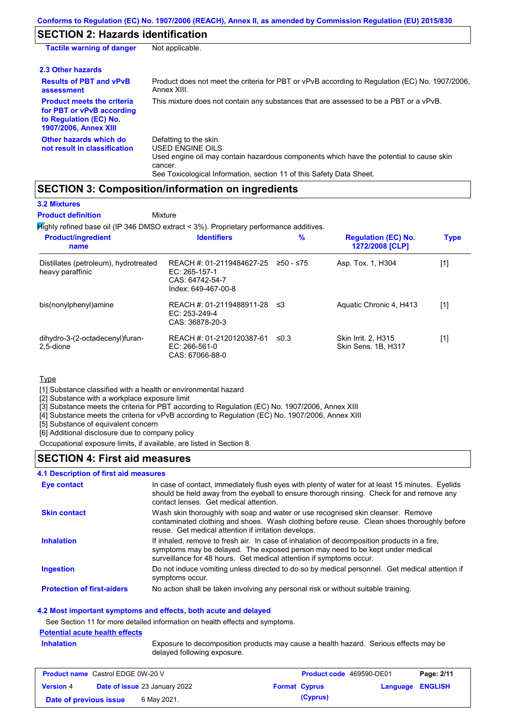# **SECTION 2: Hazards identification**

| <b>Tactile warning of danger</b>                                                                                         | Not applicable.                                                                                                                                                                                                          |
|--------------------------------------------------------------------------------------------------------------------------|--------------------------------------------------------------------------------------------------------------------------------------------------------------------------------------------------------------------------|
| 2.3 Other hazards                                                                                                        |                                                                                                                                                                                                                          |
| <b>Results of PBT and vPvB</b><br>assessment                                                                             | Product does not meet the criteria for PBT or vPvB according to Regulation (EC) No. 1907/2006,<br>Annex XIII.                                                                                                            |
| <b>Product meets the criteria</b><br>for PBT or vPvB according<br>to Regulation (EC) No.<br><b>1907/2006, Annex XIII</b> | This mixture does not contain any substances that are assessed to be a PBT or a vPvB.                                                                                                                                    |
| Other hazards which do<br>not result in classification                                                                   | Defatting to the skin.<br>USED ENGINE OILS<br>Used engine oil may contain hazardous components which have the potential to cause skin<br>cancer.<br>See Toxicological Information, section 11 of this Safety Data Sheet. |

### **SECTION 3: Composition/information on ingredients**

### **3.2 Mixtures**

**Mixture Product definition**

Highly refined base oil (IP 346 DMSO extract < 3%). Proprietary performance additives.

| <b>Product/ingredient</b><br>name                         | <b>Identifiers</b>                                                                   | $\%$       | <b>Regulation (EC) No.</b><br>1272/2008 [CLP] | <b>Type</b>                                                                                                                                                                                                               |
|-----------------------------------------------------------|--------------------------------------------------------------------------------------|------------|-----------------------------------------------|---------------------------------------------------------------------------------------------------------------------------------------------------------------------------------------------------------------------------|
| Distillates (petroleum), hydrotreated<br>heavy paraffinic | REACH #: 01-2119484627-25<br>EC: 265-157-1<br>CAS: 64742-54-7<br>Index: 649-467-00-8 | ≥50 - ≤75  | Asp. Tox. 1, H304                             | $[1] % \includegraphics[width=0.9\columnwidth]{figures/fig_10.pdf} \caption{The figure shows the number of times on the right panel. The left panel shows the number of times on the right panel.} \label{fig:fig_11}} %$ |
| bis(nonylphenyl)amine                                     | REACH #: 01-2119488911-28 ≤3<br>EC: $253-249-4$<br>CAS: 36878-20-3                   |            | Aquatic Chronic 4, H413                       | [1]                                                                                                                                                                                                                       |
| dihydro-3-(2-octadecenyl)furan-<br>2,5-dione              | REACH #: 01-2120120387-61<br>$EC: 266-561-0$<br>CAS: 67066-88-0                      | $\leq 0.3$ | Skin Irrit. 2, H315<br>Skin Sens. 1B, H317    | $[1]$                                                                                                                                                                                                                     |

### **Type**

[1] Substance classified with a health or environmental hazard

[2] Substance with a workplace exposure limit

[3] Substance meets the criteria for PBT according to Regulation (EC) No. 1907/2006, Annex XIII

[4] Substance meets the criteria for vPvB according to Regulation (EC) No. 1907/2006, Annex XIII

[5] Substance of equivalent concern

[6] Additional disclosure due to company policy

Occupational exposure limits, if available, are listed in Section 8.

### **SECTION 4: First aid measures**

### **4.1 Description of first aid measures**

| Eye contact                       | In case of contact, immediately flush eyes with plenty of water for at least 15 minutes. Eyelids<br>should be held away from the eyeball to ensure thorough rinsing. Check for and remove any<br>contact lenses. Get medical attention.             |
|-----------------------------------|-----------------------------------------------------------------------------------------------------------------------------------------------------------------------------------------------------------------------------------------------------|
| <b>Skin contact</b>               | Wash skin thoroughly with soap and water or use recognised skin cleanser. Remove<br>contaminated clothing and shoes. Wash clothing before reuse. Clean shoes thoroughly before<br>reuse. Get medical attention if irritation develops.              |
| <b>Inhalation</b>                 | If inhaled, remove to fresh air. In case of inhalation of decomposition products in a fire,<br>symptoms may be delayed. The exposed person may need to be kept under medical<br>surveillance for 48 hours. Get medical attention if symptoms occur. |
| Ingestion                         | Do not induce vomiting unless directed to do so by medical personnel. Get medical attention if<br>symptoms occur.                                                                                                                                   |
| <b>Protection of first-aiders</b> | No action shall be taken involving any personal risk or without suitable training.                                                                                                                                                                  |

### **4.2 Most important symptoms and effects, both acute and delayed**

See Section 11 for more detailed information on health effects and symptoms.

#### **Potential acute health effects**

**Inhalation** Exposure to decomposition products may cause a health hazard. Serious effects may be delayed following exposure.

| <b>Product name</b> Castrol EDGE 0W-20 V |                                                              | <b>Product code</b> 469590-DE01 |          | Page: 2/11              |  |
|------------------------------------------|--------------------------------------------------------------|---------------------------------|----------|-------------------------|--|
| <b>Version 4</b>                         | <b>Date of issue 23 January 2022</b><br><b>Format Cyprus</b> |                                 |          | <b>Language ENGLISH</b> |  |
| 6 May 2021.<br>Date of previous issue    |                                                              |                                 | (Cyprus) |                         |  |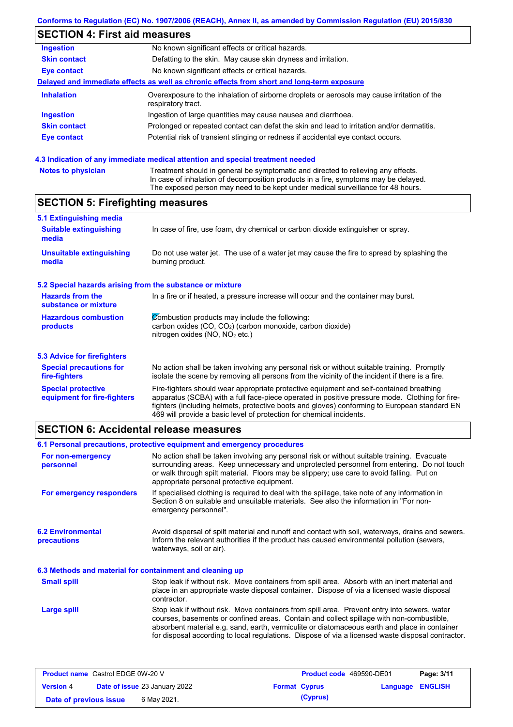## **SECTION 4: First aid measures**

| <b>Ingestion</b>    | No known significant effects or critical hazards.                                                                 |
|---------------------|-------------------------------------------------------------------------------------------------------------------|
| <b>Skin contact</b> | Defatting to the skin. May cause skin dryness and irritation.                                                     |
| Eye contact         | No known significant effects or critical hazards.                                                                 |
|                     | Delayed and immediate effects as well as chronic effects from short and long-term exposure                        |
| <b>Inhalation</b>   | Overexposure to the inhalation of airborne droplets or aerosols may cause irritation of the<br>respiratory tract. |
| <b>Ingestion</b>    | Ingestion of large quantities may cause nausea and diarrhoea.                                                     |
| <b>Skin contact</b> | Prolonged or repeated contact can defat the skin and lead to irritation and/or dermatitis.                        |
| Eye contact         | Potential risk of transient stinging or redness if accidental eye contact occurs.                                 |
|                     |                                                                                                                   |
|                     |                                                                                                                   |

### **4.3 Indication of any immediate medical attention and special treatment needed**

| <b>Notes to physician</b> | Treatment should in general be symptomatic and directed to relieving any effects.<br>In case of inhalation of decomposition products in a fire, symptoms may be delayed. |
|---------------------------|--------------------------------------------------------------------------------------------------------------------------------------------------------------------------|
|                           | The exposed person may need to be kept under medical surveillance for 48 hours.                                                                                          |

# **SECTION 5: Firefighting measures**

| 5.1 Extinguishing media                                   |                                                                                                                                                                                                |
|-----------------------------------------------------------|------------------------------------------------------------------------------------------------------------------------------------------------------------------------------------------------|
| <b>Suitable extinguishing</b><br>media                    | In case of fire, use foam, dry chemical or carbon dioxide extinguisher or spray.                                                                                                               |
| <b>Unsuitable extinguishing</b><br>media                  | Do not use water jet. The use of a water jet may cause the fire to spread by splashing the<br>burning product.                                                                                 |
| 5.2 Special hazards arising from the substance or mixture |                                                                                                                                                                                                |
| <b>Hazards from the</b><br>substance or mixture           | In a fire or if heated, a pressure increase will occur and the container may burst.                                                                                                            |
| <b>Hazardous combustion</b>                               | Combustion products may include the following:                                                                                                                                                 |
| products                                                  | carbon oxides (CO, CO <sub>2</sub> ) (carbon monoxide, carbon dioxide)<br>nitrogen oxides ( $NO$ , $NO2$ etc.)                                                                                 |
| 5.3 Advice for firefighters                               |                                                                                                                                                                                                |
| <b>Special precautions for</b><br>fire-fighters           | No action shall be taken involving any personal risk or without suitable training. Promptly<br>isolate the scene by removing all persons from the vicinity of the incident if there is a fire. |
| <b>Special protective</b>                                 | Fire-fighters should wear appropriate protective equipment and self-contained breathing                                                                                                        |

apparatus (SCBA) with a full face-piece operated in positive pressure mode. Clothing for firefighters (including helmets, protective boots and gloves) conforming to European standard EN

## **SECTION 6: Accidental release measures**

**equipment for fire-fighters**

|                                                                                                                                                                                                                                                                                                                                                                       | 6.1 Personal precautions, protective equipment and emergency procedures                                                                                                                                                                                                                                                                                                                        |  |
|-----------------------------------------------------------------------------------------------------------------------------------------------------------------------------------------------------------------------------------------------------------------------------------------------------------------------------------------------------------------------|------------------------------------------------------------------------------------------------------------------------------------------------------------------------------------------------------------------------------------------------------------------------------------------------------------------------------------------------------------------------------------------------|--|
| No action shall be taken involving any personal risk or without suitable training. Evacuate<br>For non-emergency<br>surrounding areas. Keep unnecessary and unprotected personnel from entering. Do not touch<br>personnel<br>or walk through spilt material. Floors may be slippery; use care to avoid falling. Put on<br>appropriate personal protective equipment. |                                                                                                                                                                                                                                                                                                                                                                                                |  |
| For emergency responders                                                                                                                                                                                                                                                                                                                                              | If specialised clothing is required to deal with the spillage, take note of any information in<br>Section 8 on suitable and unsuitable materials. See also the information in "For non-<br>emergency personnel".                                                                                                                                                                               |  |
| <b>6.2 Environmental</b><br>precautions                                                                                                                                                                                                                                                                                                                               | Avoid dispersal of spilt material and runoff and contact with soil, waterways, drains and sewers.<br>Inform the relevant authorities if the product has caused environmental pollution (sewers,<br>waterways, soil or air).                                                                                                                                                                    |  |
| 6.3 Methods and material for containment and cleaning up                                                                                                                                                                                                                                                                                                              |                                                                                                                                                                                                                                                                                                                                                                                                |  |
| <b>Small spill</b>                                                                                                                                                                                                                                                                                                                                                    | Stop leak if without risk. Move containers from spill area. Absorb with an inert material and<br>place in an appropriate waste disposal container. Dispose of via a licensed waste disposal<br>contractor.                                                                                                                                                                                     |  |
| Large spill                                                                                                                                                                                                                                                                                                                                                           | Stop leak if without risk. Move containers from spill area. Prevent entry into sewers, water<br>courses, basements or confined areas. Contain and collect spillage with non-combustible,<br>absorbent material e.g. sand, earth, vermiculite or diatomaceous earth and place in container<br>for disposal according to local regulations. Dispose of via a licensed waste disposal contractor. |  |
|                                                                                                                                                                                                                                                                                                                                                                       |                                                                                                                                                                                                                                                                                                                                                                                                |  |

469 will provide a basic level of protection for chemical incidents.

| <b>Product name</b> Castrol EDGE 0W-20 V                 |  | <b>Product code</b> 469590-DE01 |                      | Page: 3/11              |  |  |
|----------------------------------------------------------|--|---------------------------------|----------------------|-------------------------|--|--|
| <b>Date of issue 23 January 2022</b><br><b>Version 4</b> |  |                                 | <b>Format Cyprus</b> | <b>Language ENGLISH</b> |  |  |
| Date of previous issue                                   |  | 6 May 2021.                     |                      | (Cyprus)                |  |  |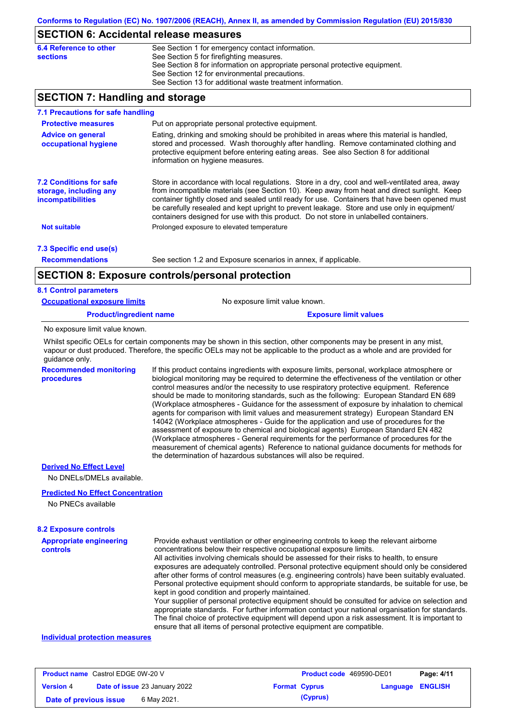## **SECTION 6: Accidental release measures**

| 6.4 Reference to other | See Section 1 for emergency contact information.                            |
|------------------------|-----------------------------------------------------------------------------|
| sections               | See Section 5 for firefighting measures.                                    |
|                        | See Section 8 for information on appropriate personal protective equipment. |
|                        | See Section 12 for environmental precautions.                               |
|                        | See Section 13 for additional waste treatment information.                  |

## **SECTION 7: Handling and storage**

| 7.1 Precautions for safe handling                                                                                                                                                                                                                                                                                                                                                                                                                                                                                                                                                |                                                                                                                                                                                                                                                                                                                  |  |  |  |  |  |  |
|----------------------------------------------------------------------------------------------------------------------------------------------------------------------------------------------------------------------------------------------------------------------------------------------------------------------------------------------------------------------------------------------------------------------------------------------------------------------------------------------------------------------------------------------------------------------------------|------------------------------------------------------------------------------------------------------------------------------------------------------------------------------------------------------------------------------------------------------------------------------------------------------------------|--|--|--|--|--|--|
| <b>Protective measures</b>                                                                                                                                                                                                                                                                                                                                                                                                                                                                                                                                                       | Put on appropriate personal protective equipment.                                                                                                                                                                                                                                                                |  |  |  |  |  |  |
| <b>Advice on general</b><br>occupational hygiene                                                                                                                                                                                                                                                                                                                                                                                                                                                                                                                                 | Eating, drinking and smoking should be prohibited in areas where this material is handled,<br>stored and processed. Wash thoroughly after handling. Remove contaminated clothing and<br>protective equipment before entering eating areas. See also Section 8 for additional<br>information on hygiene measures. |  |  |  |  |  |  |
| Store in accordance with local regulations. Store in a dry, cool and well-ventilated area, away<br><b>7.2 Conditions for safe</b><br>from incompatible materials (see Section 10). Keep away from heat and direct sunlight. Keep<br>storage, including any<br>container tightly closed and sealed until ready for use. Containers that have been opened must<br><b>incompatibilities</b><br>be carefully resealed and kept upright to prevent leakage. Store and use only in equipment/<br>containers designed for use with this product. Do not store in unlabelled containers. |                                                                                                                                                                                                                                                                                                                  |  |  |  |  |  |  |
| <b>Not suitable</b>                                                                                                                                                                                                                                                                                                                                                                                                                                                                                                                                                              | Prolonged exposure to elevated temperature                                                                                                                                                                                                                                                                       |  |  |  |  |  |  |
| 7.3 Specific end use(s)                                                                                                                                                                                                                                                                                                                                                                                                                                                                                                                                                          |                                                                                                                                                                                                                                                                                                                  |  |  |  |  |  |  |
| <b>Recommendations</b>                                                                                                                                                                                                                                                                                                                                                                                                                                                                                                                                                           | See section 1.2 and Exposure scenarios in annex, if applicable.                                                                                                                                                                                                                                                  |  |  |  |  |  |  |
|                                                                                                                                                                                                                                                                                                                                                                                                                                                                                                                                                                                  | <b>SECTION 8: Exposure controls/personal protection</b>                                                                                                                                                                                                                                                          |  |  |  |  |  |  |
| <b>8.1 Control parameters</b>                                                                                                                                                                                                                                                                                                                                                                                                                                                                                                                                                    |                                                                                                                                                                                                                                                                                                                  |  |  |  |  |  |  |
| <b>Occupational exposure limits</b>                                                                                                                                                                                                                                                                                                                                                                                                                                                                                                                                              | No exposure limit value known.                                                                                                                                                                                                                                                                                   |  |  |  |  |  |  |
| <b>Product/ingredient name</b>                                                                                                                                                                                                                                                                                                                                                                                                                                                                                                                                                   | <b>Exposure limit values</b>                                                                                                                                                                                                                                                                                     |  |  |  |  |  |  |
| No exposure limit value known.                                                                                                                                                                                                                                                                                                                                                                                                                                                                                                                                                   |                                                                                                                                                                                                                                                                                                                  |  |  |  |  |  |  |
| guidance only.                                                                                                                                                                                                                                                                                                                                                                                                                                                                                                                                                                   | Whilst specific OELs for certain components may be shown in this section, other components may be present in any mist,<br>vapour or dust produced. Therefore, the specific OELs may not be applicable to the product as a whole and are provided for                                                             |  |  |  |  |  |  |
| <b>Recommended monitoring</b><br>procedures                                                                                                                                                                                                                                                                                                                                                                                                                                                                                                                                      | If this product contains ingredients with exposure limits, personal, workplace atmosphere or<br>biological monitoring may be required to determine the effectiveness of the ventilation or other<br>control measures and/or the necessity to use respiratory protective equipment. Reference                     |  |  |  |  |  |  |

should be made to monitoring standards, such as the following: European Standard EN 689 (Workplace atmospheres - Guidance for the assessment of exposure by inhalation to chemical agents for comparison with limit values and measurement strategy) European Standard EN 14042 (Workplace atmospheres - Guide for the application and use of procedures for the assessment of exposure to chemical and biological agents) European Standard EN 482 (Workplace atmospheres - General requirements for the performance of procedures for the measurement of chemical agents) Reference to national guidance documents for methods for the determination of hazardous substances will also be required.

### **Derived No Effect Level**

No DNELs/DMELs available.

### **Predicted No Effect Concentration**

No PNECs available

#### **8.2 Exposure controls**

| <b>Appropriate engineering</b><br><b>controls</b> | Provide exhaust ventilation or other engineering controls to keep the relevant airborne<br>concentrations below their respective occupational exposure limits. |
|---------------------------------------------------|----------------------------------------------------------------------------------------------------------------------------------------------------------------|
|                                                   | All activities involving chemicals should be assessed for their risks to health, to ensure                                                                     |
|                                                   | exposures are adequately controlled. Personal protective equipment should only be considered                                                                   |
|                                                   | after other forms of control measures (e.g. engineering controls) have been suitably evaluated.                                                                |
|                                                   | Personal protective equipment should conform to appropriate standards, be suitable for use, be                                                                 |
|                                                   | kept in good condition and properly maintained.                                                                                                                |
|                                                   | Your supplier of personal protective equipment should be consulted for advice on selection and                                                                 |
|                                                   | appropriate standards. For further information contact your national organisation for standards.                                                               |
|                                                   | The final choice of protective equipment will depend upon a risk assessment. It is important to                                                                |
|                                                   | ensure that all items of personal protective equipment are compatible.                                                                                         |

### **Individual protection measures**

| <b>Product name</b> Castrol EDGE 0W-20 V |                                      |                      | <b>Product code</b> 469590-DE01 |                         | Page: 4/11 |
|------------------------------------------|--------------------------------------|----------------------|---------------------------------|-------------------------|------------|
| <b>Version 4</b>                         | <b>Date of issue 23 January 2022</b> | <b>Format Cyprus</b> |                                 | <b>Language ENGLISH</b> |            |
| Date of previous issue                   | 6 May 2021.                          |                      | (Cyprus)                        |                         |            |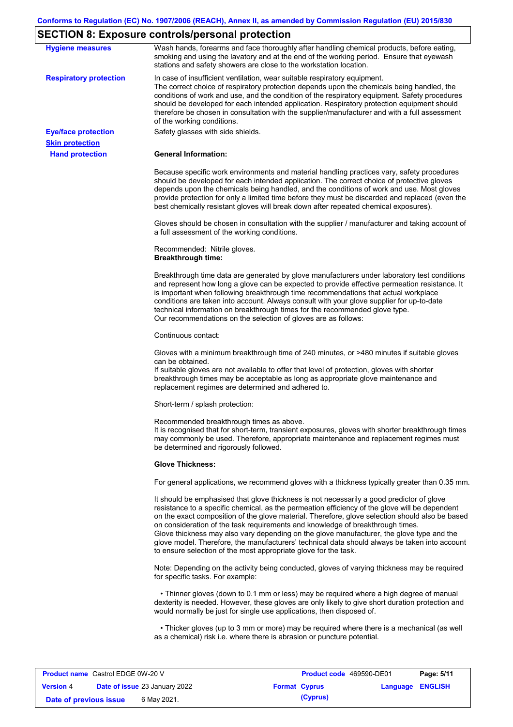# **SECTION 8: Exposure controls/personal protection**

| <b>Hygiene measures</b>       | Wash hands, forearms and face thoroughly after handling chemical products, before eating,<br>smoking and using the lavatory and at the end of the working period. Ensure that eyewash<br>stations and safety showers are close to the workstation location.                                                                                                                                                                                                                                                                                                                                                                                       |
|-------------------------------|---------------------------------------------------------------------------------------------------------------------------------------------------------------------------------------------------------------------------------------------------------------------------------------------------------------------------------------------------------------------------------------------------------------------------------------------------------------------------------------------------------------------------------------------------------------------------------------------------------------------------------------------------|
| <b>Respiratory protection</b> | In case of insufficient ventilation, wear suitable respiratory equipment.<br>The correct choice of respiratory protection depends upon the chemicals being handled, the<br>conditions of work and use, and the condition of the respiratory equipment. Safety procedures<br>should be developed for each intended application. Respiratory protection equipment should<br>therefore be chosen in consultation with the supplier/manufacturer and with a full assessment<br>of the working conditions.                                                                                                                                             |
| <b>Eye/face protection</b>    | Safety glasses with side shields.                                                                                                                                                                                                                                                                                                                                                                                                                                                                                                                                                                                                                 |
| <b>Skin protection</b>        |                                                                                                                                                                                                                                                                                                                                                                                                                                                                                                                                                                                                                                                   |
| <b>Hand protection</b>        | <b>General Information:</b>                                                                                                                                                                                                                                                                                                                                                                                                                                                                                                                                                                                                                       |
|                               | Because specific work environments and material handling practices vary, safety procedures<br>should be developed for each intended application. The correct choice of protective gloves<br>depends upon the chemicals being handled, and the conditions of work and use. Most gloves<br>provide protection for only a limited time before they must be discarded and replaced (even the<br>best chemically resistant gloves will break down after repeated chemical exposures).                                                                                                                                                                  |
|                               | Gloves should be chosen in consultation with the supplier / manufacturer and taking account of<br>a full assessment of the working conditions.                                                                                                                                                                                                                                                                                                                                                                                                                                                                                                    |
|                               | Recommended: Nitrile gloves.<br><b>Breakthrough time:</b>                                                                                                                                                                                                                                                                                                                                                                                                                                                                                                                                                                                         |
|                               | Breakthrough time data are generated by glove manufacturers under laboratory test conditions<br>and represent how long a glove can be expected to provide effective permeation resistance. It<br>is important when following breakthrough time recommendations that actual workplace<br>conditions are taken into account. Always consult with your glove supplier for up-to-date<br>technical information on breakthrough times for the recommended glove type.<br>Our recommendations on the selection of gloves are as follows:                                                                                                                |
|                               | Continuous contact:                                                                                                                                                                                                                                                                                                                                                                                                                                                                                                                                                                                                                               |
|                               | Gloves with a minimum breakthrough time of 240 minutes, or >480 minutes if suitable gloves<br>can be obtained.<br>If suitable gloves are not available to offer that level of protection, gloves with shorter<br>breakthrough times may be acceptable as long as appropriate glove maintenance and<br>replacement regimes are determined and adhered to.                                                                                                                                                                                                                                                                                          |
|                               | Short-term / splash protection:                                                                                                                                                                                                                                                                                                                                                                                                                                                                                                                                                                                                                   |
|                               | Recommended breakthrough times as above.<br>It is recognised that for short-term, transient exposures, gloves with shorter breakthrough times<br>may commonly be used. Therefore, appropriate maintenance and replacement regimes must<br>be determined and rigorously followed.                                                                                                                                                                                                                                                                                                                                                                  |
|                               | <b>Glove Thickness:</b>                                                                                                                                                                                                                                                                                                                                                                                                                                                                                                                                                                                                                           |
|                               | For general applications, we recommend gloves with a thickness typically greater than 0.35 mm.                                                                                                                                                                                                                                                                                                                                                                                                                                                                                                                                                    |
|                               | It should be emphasised that glove thickness is not necessarily a good predictor of glove<br>resistance to a specific chemical, as the permeation efficiency of the glove will be dependent<br>on the exact composition of the glove material. Therefore, glove selection should also be based<br>on consideration of the task requirements and knowledge of breakthrough times.<br>Glove thickness may also vary depending on the glove manufacturer, the glove type and the<br>glove model. Therefore, the manufacturers' technical data should always be taken into account<br>to ensure selection of the most appropriate glove for the task. |
|                               | Note: Depending on the activity being conducted, gloves of varying thickness may be required<br>for specific tasks. For example:                                                                                                                                                                                                                                                                                                                                                                                                                                                                                                                  |
|                               | • Thinner gloves (down to 0.1 mm or less) may be required where a high degree of manual<br>dexterity is needed. However, these gloves are only likely to give short duration protection and<br>would normally be just for single use applications, then disposed of.                                                                                                                                                                                                                                                                                                                                                                              |
|                               | • Thicker gloves (up to 3 mm or more) may be required where there is a mechanical (as well<br>as a chemical) risk i.e. where there is abrasion or puncture potential.                                                                                                                                                                                                                                                                                                                                                                                                                                                                             |
|                               |                                                                                                                                                                                                                                                                                                                                                                                                                                                                                                                                                                                                                                                   |

| <b>Product name</b> Castrol EDGE 0W-20 V |                                      | <b>Product code</b> 469590-DE01 |                         | Page: 5/11 |
|------------------------------------------|--------------------------------------|---------------------------------|-------------------------|------------|
| <b>Version 4</b>                         | <b>Date of issue 23 January 2022</b> | <b>Format Cyprus</b>            | <b>Language ENGLISH</b> |            |
| Date of previous issue                   | 6 May 2021.                          | (Cyprus)                        |                         |            |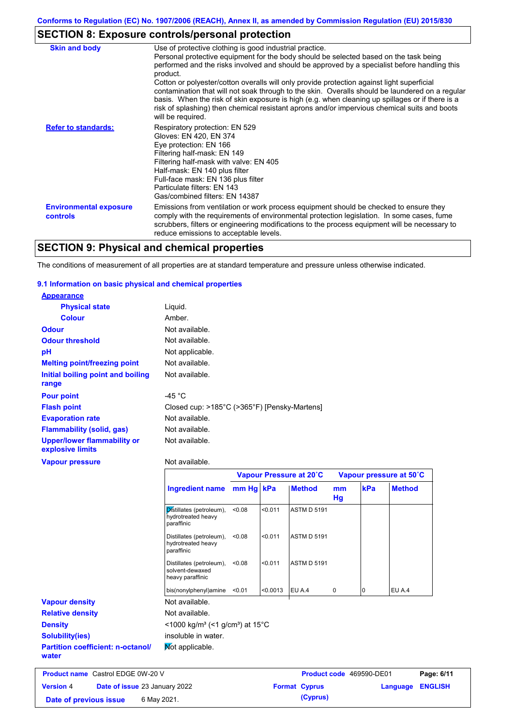# **SECTION 8: Exposure controls/personal protection**

| <b>Skin and body</b>                             | Use of protective clothing is good industrial practice.<br>Personal protective equipment for the body should be selected based on the task being<br>performed and the risks involved and should be approved by a specialist before handling this<br>product.<br>Cotton or polyester/cotton overalls will only provide protection against light superficial<br>contamination that will not soak through to the skin. Overalls should be laundered on a regular<br>basis. When the risk of skin exposure is high (e.g. when cleaning up spillages or if there is a<br>risk of splashing) then chemical resistant aprons and/or impervious chemical suits and boots<br>will be required. |
|--------------------------------------------------|---------------------------------------------------------------------------------------------------------------------------------------------------------------------------------------------------------------------------------------------------------------------------------------------------------------------------------------------------------------------------------------------------------------------------------------------------------------------------------------------------------------------------------------------------------------------------------------------------------------------------------------------------------------------------------------|
| <b>Refer to standards:</b>                       | Respiratory protection: EN 529<br>Gloves: EN 420, EN 374<br>Eye protection: EN 166<br>Filtering half-mask: EN 149<br>Filtering half-mask with valve: EN 405<br>Half-mask: EN 140 plus filter<br>Full-face mask: EN 136 plus filter<br>Particulate filters: EN 143<br>Gas/combined filters: EN 14387                                                                                                                                                                                                                                                                                                                                                                                   |
| <b>Environmental exposure</b><br><b>controls</b> | Emissions from ventilation or work process equipment should be checked to ensure they<br>comply with the requirements of environmental protection legislation. In some cases, fume<br>scrubbers, filters or engineering modifications to the process equipment will be necessary to<br>reduce emissions to acceptable levels.                                                                                                                                                                                                                                                                                                                                                         |

# **SECTION 9: Physical and chemical properties**

The conditions of measurement of all properties are at standard temperature and pressure unless otherwise indicated.

### **9.1 Information on basic physical and chemical properties**

| <b>Appearance</b>                                      |                                                              |           |         |                         |          |     |                         |
|--------------------------------------------------------|--------------------------------------------------------------|-----------|---------|-------------------------|----------|-----|-------------------------|
| <b>Physical state</b>                                  | Liquid.                                                      |           |         |                         |          |     |                         |
| <b>Colour</b>                                          | Amber.                                                       |           |         |                         |          |     |                         |
| Odour                                                  | Not available.                                               |           |         |                         |          |     |                         |
| <b>Odour threshold</b>                                 | Not available.                                               |           |         |                         |          |     |                         |
| pH                                                     | Not applicable.                                              |           |         |                         |          |     |                         |
| <b>Melting point/freezing point</b>                    | Not available.                                               |           |         |                         |          |     |                         |
| Initial boiling point and boiling<br>range             | Not available.                                               |           |         |                         |          |     |                         |
| <b>Pour point</b>                                      | -45 $^{\circ}$ C                                             |           |         |                         |          |     |                         |
| <b>Flash point</b>                                     | Closed cup: >185°C (>365°F) [Pensky-Martens]                 |           |         |                         |          |     |                         |
| <b>Evaporation rate</b>                                | Not available.                                               |           |         |                         |          |     |                         |
| <b>Flammability (solid, gas)</b>                       | Not available.                                               |           |         |                         |          |     |                         |
| <b>Upper/lower flammability or</b><br>explosive limits | Not available.                                               |           |         |                         |          |     |                         |
| <b>Vapour pressure</b>                                 | Not available.                                               |           |         |                         |          |     |                         |
|                                                        |                                                              |           |         | Vapour Pressure at 20°C |          |     | Vapour pressure at 50°C |
|                                                        | Ingredient name                                              | mm Hg kPa |         | <b>Method</b>           | mm<br>Hg | kPa | <b>Method</b>           |
|                                                        | Distillates (petroleum),<br>hydrotreated heavy<br>paraffinic | < 0.08    | < 0.011 | <b>ASTM D 5191</b>      |          |     |                         |
|                                                        | Distillates (petroleum),<br>hydrotreated heavy<br>paraffinic | < 0.08    | < 0.011 | <b>ASTM D 5191</b>      |          |     |                         |

| Distillates (petroleum),<br>< 0.08<br>solvent-dewaxed<br>heavy paraffinic | < 0.011  |                                                                            |   |                    |        |  |
|---------------------------------------------------------------------------|----------|----------------------------------------------------------------------------|---|--------------------|--------|--|
| bis(nonylphenyl)amine<br>< 0.01                                           | < 0.0013 | EU A.4                                                                     | 0 | ١O                 | EU A.4 |  |
| Not available.                                                            |          |                                                                            |   |                    |        |  |
| Not available.                                                            |          |                                                                            |   |                    |        |  |
|                                                                           |          |                                                                            |   |                    |        |  |
| insoluble in water.                                                       |          |                                                                            |   |                    |        |  |
| Mot applicable.                                                           |          |                                                                            |   |                    |        |  |
|                                                                           |          | $\leq$ 1000 kg/m <sup>3</sup> (<1 g/cm <sup>3</sup> ) at 15 <sup>°</sup> C |   | <b>ASTM D 5191</b> |        |  |

| <b>Product name</b> Castrol EDGE 0W-20 V |  |                                      | <b>Product code</b> 469590-DE01 |          | Page: 6/11              |  |
|------------------------------------------|--|--------------------------------------|---------------------------------|----------|-------------------------|--|
| <b>Version 4</b>                         |  | <b>Date of issue 23 January 2022</b> | <b>Format Cyprus</b>            |          | <b>Language ENGLISH</b> |  |
| Date of previous issue                   |  | 6 May 2021.                          |                                 | (Cyprus) |                         |  |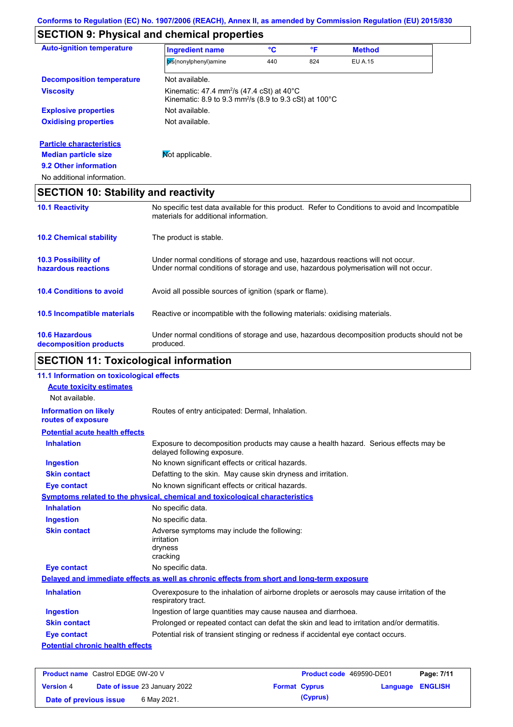# **SECTION 9: Physical and chemical properties**

| <b>Auto-ignition temperature</b>            | <b>Ingredient name</b>                                                                                                                   | °C  | °F  | <b>Method</b>  |  |
|---------------------------------------------|------------------------------------------------------------------------------------------------------------------------------------------|-----|-----|----------------|--|
|                                             | bis(nonylphenyl)amine                                                                                                                    | 440 | 824 | <b>EU A.15</b> |  |
| <b>Decomposition temperature</b>            | Not available.                                                                                                                           |     |     |                |  |
| <b>Viscosity</b>                            | Kinematic: 47.4 mm <sup>2</sup> /s (47.4 cSt) at 40 $^{\circ}$ C<br>Kinematic: 8.9 to 9.3 mm <sup>2</sup> /s (8.9 to 9.3 cSt) at 100°C   |     |     |                |  |
| <b>Explosive properties</b>                 | Not available.                                                                                                                           |     |     |                |  |
| <b>Oxidising properties</b>                 | Not available.                                                                                                                           |     |     |                |  |
| <b>Particle characteristics</b>             |                                                                                                                                          |     |     |                |  |
| <b>Median particle size</b>                 | Mot applicable.                                                                                                                          |     |     |                |  |
| 9.2 Other information                       |                                                                                                                                          |     |     |                |  |
| No additional information.                  |                                                                                                                                          |     |     |                |  |
| <b>SECTION 10: Stability and reactivity</b> |                                                                                                                                          |     |     |                |  |
| <b>10.1 Reactivity</b>                      | No specific test data available for this product. Refer to Conditions to avoid and Incompatible<br>materials for additional information. |     |     |                |  |

|                                                   | THAIGHAIS TOL AUUTHOLIAL ILIIOITTIANOIT.                                                                                                                                |
|---------------------------------------------------|-------------------------------------------------------------------------------------------------------------------------------------------------------------------------|
| <b>10.2 Chemical stability</b>                    | The product is stable.                                                                                                                                                  |
| <b>10.3 Possibility of</b><br>hazardous reactions | Under normal conditions of storage and use, hazardous reactions will not occur.<br>Under normal conditions of storage and use, hazardous polymerisation will not occur. |
| <b>10.4 Conditions to avoid</b>                   | Avoid all possible sources of ignition (spark or flame).                                                                                                                |
| 10.5 Incompatible materials                       | Reactive or incompatible with the following materials: oxidising materials.                                                                                             |
| <b>10.6 Hazardous</b><br>decomposition products   | Under normal conditions of storage and use, hazardous decomposition products should not be<br>produced.                                                                 |

# **SECTION 11: Toxicological information**

| 11.1 Information on toxicological effects          |                                                                                                                     |
|----------------------------------------------------|---------------------------------------------------------------------------------------------------------------------|
| <b>Acute toxicity estimates</b>                    |                                                                                                                     |
| Not available.                                     |                                                                                                                     |
| <b>Information on likely</b><br>routes of exposure | Routes of entry anticipated: Dermal, Inhalation.                                                                    |
| <b>Potential acute health effects</b>              |                                                                                                                     |
| <b>Inhalation</b>                                  | Exposure to decomposition products may cause a health hazard. Serious effects may be<br>delayed following exposure. |
| <b>Ingestion</b>                                   | No known significant effects or critical hazards.                                                                   |
| <b>Skin contact</b>                                | Defatting to the skin. May cause skin dryness and irritation.                                                       |
| <b>Eye contact</b>                                 | No known significant effects or critical hazards.                                                                   |
|                                                    | Symptoms related to the physical, chemical and toxicological characteristics                                        |
| <b>Inhalation</b>                                  | No specific data.                                                                                                   |
| <b>Ingestion</b>                                   | No specific data.                                                                                                   |
| <b>Skin contact</b>                                | Adverse symptoms may include the following:<br>irritation<br>dryness<br>cracking                                    |
| <b>Eye contact</b>                                 | No specific data.                                                                                                   |
|                                                    | Delayed and immediate effects as well as chronic effects from short and long-term exposure                          |
| <b>Inhalation</b>                                  | Overexposure to the inhalation of airborne droplets or aerosols may cause irritation of the<br>respiratory tract.   |
| <b>Ingestion</b>                                   | Ingestion of large quantities may cause nausea and diarrhoea.                                                       |
| <b>Skin contact</b>                                | Prolonged or repeated contact can defat the skin and lead to irritation and/or dermatitis.                          |
| <b>Eye contact</b>                                 | Potential risk of transient stinging or redness if accidental eye contact occurs.                                   |
| <b>Potential chronic health effects</b>            |                                                                                                                     |

| <b>Product name</b> Castrol EDGE 0W-20 V |  | <b>Product code</b> 469590-DE01      |  | Page: 7/11           |                         |  |
|------------------------------------------|--|--------------------------------------|--|----------------------|-------------------------|--|
| <b>Version 4</b>                         |  | <b>Date of issue 23 January 2022</b> |  | <b>Format Cyprus</b> | <b>Language ENGLISH</b> |  |
| Date of previous issue                   |  | 6 May 2021.                          |  | (Cyprus)             |                         |  |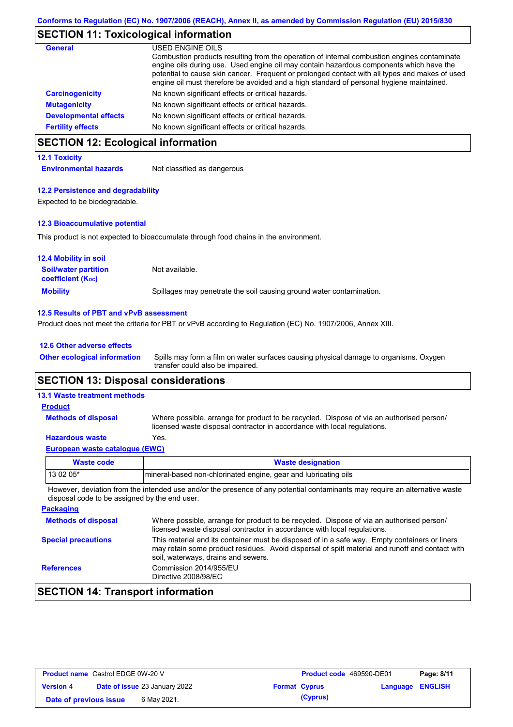# **SECTION 11: Toxicological information**

| <b>General</b>               | USED ENGINE OILS<br>Combustion products resulting from the operation of internal combustion engines contaminate<br>engine oils during use. Used engine oil may contain hazardous components which have the<br>potential to cause skin cancer. Frequent or prolonged contact with all types and makes of used<br>engine oil must therefore be avoided and a high standard of personal hygiene maintained. |
|------------------------------|----------------------------------------------------------------------------------------------------------------------------------------------------------------------------------------------------------------------------------------------------------------------------------------------------------------------------------------------------------------------------------------------------------|
| <b>Carcinogenicity</b>       | No known significant effects or critical hazards.                                                                                                                                                                                                                                                                                                                                                        |
| <b>Mutagenicity</b>          | No known significant effects or critical hazards.                                                                                                                                                                                                                                                                                                                                                        |
| <b>Developmental effects</b> | No known significant effects or critical hazards.                                                                                                                                                                                                                                                                                                                                                        |
| <b>Fertility effects</b>     | No known significant effects or critical hazards.                                                                                                                                                                                                                                                                                                                                                        |

## **SECTION 12: Ecological information**

### **12.1 Toxicity**

**Environmental hazards** Not classified as dangerous

### **12.2 Persistence and degradability**

Expected to be biodegradable.

### **12.3 Bioaccumulative potential**

This product is not expected to bioaccumulate through food chains in the environment.

| <b>12.4 Mobility in soil</b>                                  |                                                                      |
|---------------------------------------------------------------|----------------------------------------------------------------------|
| <b>Soil/water partition</b><br>coefficient (K <sub>oc</sub> ) | Not available.                                                       |
| <b>Mobility</b>                                               | Spillages may penetrate the soil causing ground water contamination. |

### **12.5 Results of PBT and vPvB assessment**

Product does not meet the criteria for PBT or vPvB according to Regulation (EC) No. 1907/2006, Annex XIII.

### **12.6 Other adverse effects**

Spills may form a film on water surfaces causing physical damage to organisms. Oxygen transfer could also be impaired. **Other ecological information**

### **SECTION 13: Disposal considerations**

### **13.1 Waste treatment methods**

**Methods of disposal**

#### **Product**

Where possible, arrange for product to be recycled. Dispose of via an authorised person/ licensed waste disposal contractor in accordance with local regulations.

### **Hazardous waste** Yes.

|  | European waste catalogue (EWC) |  |
|--|--------------------------------|--|
|  |                                |  |

| <b>Waste code</b> | <b>Waste designation</b>                                        |  |
|-------------------|-----------------------------------------------------------------|--|
| $130205*$         | mineral-based non-chlorinated engine, gear and lubricating oils |  |
|                   |                                                                 |  |

However, deviation from the intended use and/or the presence of any potential contaminants may require an alternative waste disposal code to be assigned by the end user.

| <b>Packaging</b>           |                                                                                                                                                                                                                                         |
|----------------------------|-----------------------------------------------------------------------------------------------------------------------------------------------------------------------------------------------------------------------------------------|
| <b>Methods of disposal</b> | Where possible, arrange for product to be recycled. Dispose of via an authorised person/<br>licensed waste disposal contractor in accordance with local regulations.                                                                    |
| <b>Special precautions</b> | This material and its container must be disposed of in a safe way. Empty containers or liners<br>may retain some product residues. Avoid dispersal of spilt material and runoff and contact with<br>soil, waterways, drains and sewers. |
| <b>References</b>          | Commission 2014/955/EU<br>Directive 2008/98/EC                                                                                                                                                                                          |

## **SECTION 14: Transport information**

| <b>Product name</b> Castrol EDGE 0W-20 V |                                      | <b>Product code</b> 469590-DE01 |                         | Page: 8/11 |
|------------------------------------------|--------------------------------------|---------------------------------|-------------------------|------------|
| <b>Version 4</b>                         | <b>Date of issue 23 January 2022</b> | <b>Format Cyprus</b>            | <b>Language ENGLISH</b> |            |
| Date of previous issue                   | 6 May 2021.                          | (Cyprus)                        |                         |            |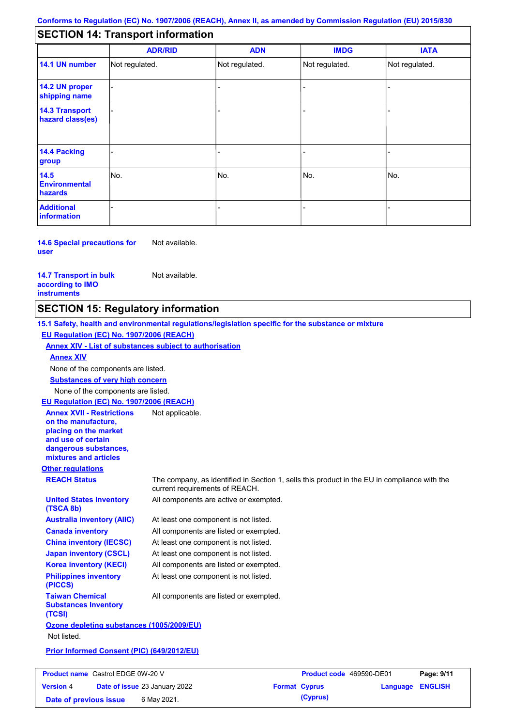## **SECTION 14: Transport information**

|                                           | <b>ADR/RID</b> | <b>ADN</b>     | <b>IMDG</b>    | <b>IATA</b>    |
|-------------------------------------------|----------------|----------------|----------------|----------------|
| 14.1 UN number                            | Not regulated. | Not regulated. | Not regulated. | Not regulated. |
| 14.2 UN proper<br>shipping name           |                |                |                |                |
| <b>14.3 Transport</b><br>hazard class(es) |                |                |                |                |
| 14.4 Packing<br>group                     |                |                | -              |                |
| 14.5<br><b>Environmental</b><br>hazards   | No.            | No.            | No.            | No.            |
| <b>Additional</b><br>information          |                |                |                |                |

**14.6 Special precautions for user** Not available.

**14.7 Transport in bulk according to IMO instruments**

Not available.

## **SECTION 15: Regulatory information**

**Other regulations REACH Status** The company, as identified in Section 1, sells this product in the EU in compliance with the current requirements of REACH. **15.1 Safety, health and environmental regulations/legislation specific for the substance or mixture EU Regulation (EC) No. 1907/2006 (REACH) Annex XIV - List of substances subject to authorisation Substances of very high concern** None of the components are listed. At least one component is not listed. All components are listed or exempted. At least one component is not listed. At least one component is not listed. All components are active or exempted. All components are listed or exempted. At least one component is not listed. **United States inventory (TSCA 8b) Australia inventory (AIIC) Canada inventory China inventory (IECSC) Japan inventory (CSCL) Korea inventory (KECI) Philippines inventory (PICCS) Taiwan Chemical Substances Inventory (TCSI)** All components are listed or exempted. **Ozone depleting substances (1005/2009/EU)** Not listed. **Prior Informed Consent (PIC) (649/2012/EU)** None of the components are listed. **Annex XIV EU Regulation (EC) No. 1907/2006 (REACH) Annex XVII - Restrictions on the manufacture, placing on the market and use of certain dangerous substances, mixtures and articles** Not applicable.

| <b>Product name</b> Castrol EDGE 0W-20 V |                                      | <b>Product code</b> 469590-DE01 |                  | Page: 9/11 |
|------------------------------------------|--------------------------------------|---------------------------------|------------------|------------|
| <b>Version 4</b>                         | <b>Date of issue 23 January 2022</b> | <b>Format Cyprus</b>            | Language ENGLISH |            |
| Date of previous issue                   | 6 May 2021.                          | (Cyprus)                        |                  |            |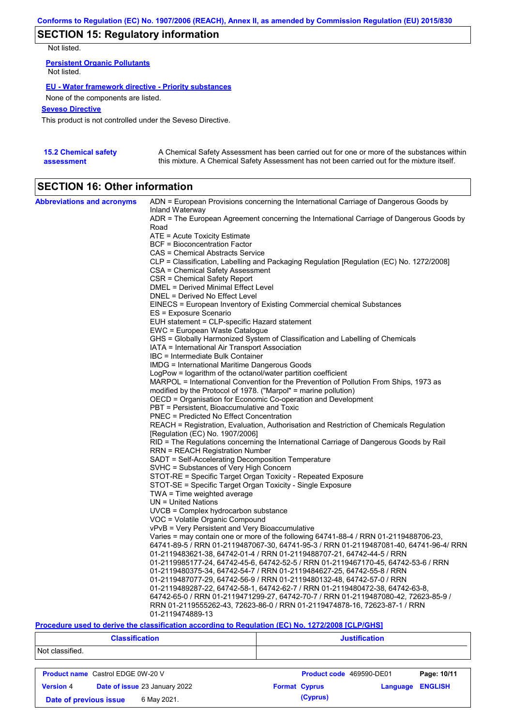# **SECTION 15: Regulatory information**

Not listed.

**Persistent Organic Pollutants** Not listed.

### **EU - Water framework directive - Priority substances**

None of the components are listed.

### **Seveso Directive**

This product is not controlled under the Seveso Directive.

| <b>15.2 Chemical safety</b> | A Chemical Safety Assessment has been carried out for one or more of the substances within  |
|-----------------------------|---------------------------------------------------------------------------------------------|
| assessment                  | this mixture. A Chemical Safety Assessment has not been carried out for the mixture itself. |

# **SECTION 16: Other information**

| <b>Abbreviations and acronyms</b> | ADN = European Provisions concerning the International Carriage of Dangerous Goods by<br>Inland Waterway |
|-----------------------------------|----------------------------------------------------------------------------------------------------------|
|                                   | ADR = The European Agreement concerning the International Carriage of Dangerous Goods by                 |
|                                   | Road                                                                                                     |
|                                   | ATE = Acute Toxicity Estimate<br><b>BCF</b> = Bioconcentration Factor                                    |
|                                   |                                                                                                          |
|                                   | CAS = Chemical Abstracts Service                                                                         |
|                                   | CLP = Classification, Labelling and Packaging Regulation [Regulation (EC) No. 1272/2008]                 |
|                                   | CSA = Chemical Safety Assessment                                                                         |
|                                   | CSR = Chemical Safety Report                                                                             |
|                                   | DMEL = Derived Minimal Effect Level                                                                      |
|                                   | DNEL = Derived No Effect Level                                                                           |
|                                   | EINECS = European Inventory of Existing Commercial chemical Substances                                   |
|                                   | ES = Exposure Scenario                                                                                   |
|                                   | EUH statement = CLP-specific Hazard statement                                                            |
|                                   | EWC = European Waste Catalogue                                                                           |
|                                   | GHS = Globally Harmonized System of Classification and Labelling of Chemicals                            |
|                                   | IATA = International Air Transport Association                                                           |
|                                   | IBC = Intermediate Bulk Container                                                                        |
|                                   | IMDG = International Maritime Dangerous Goods                                                            |
|                                   | LogPow = logarithm of the octanol/water partition coefficient                                            |
|                                   | MARPOL = International Convention for the Prevention of Pollution From Ships, 1973 as                    |
|                                   | modified by the Protocol of 1978. ("Marpol" = marine pollution)                                          |
|                                   | OECD = Organisation for Economic Co-operation and Development                                            |
|                                   | PBT = Persistent, Bioaccumulative and Toxic                                                              |
|                                   | <b>PNEC</b> = Predicted No Effect Concentration                                                          |
|                                   | REACH = Registration, Evaluation, Authorisation and Restriction of Chemicals Regulation                  |
|                                   | [Regulation (EC) No. 1907/2006]                                                                          |
|                                   | RID = The Regulations concerning the International Carriage of Dangerous Goods by Rail                   |
|                                   | RRN = REACH Registration Number                                                                          |
|                                   | SADT = Self-Accelerating Decomposition Temperature                                                       |
|                                   | SVHC = Substances of Very High Concern                                                                   |
|                                   | STOT-RE = Specific Target Organ Toxicity - Repeated Exposure                                             |
|                                   | STOT-SE = Specific Target Organ Toxicity - Single Exposure                                               |
|                                   | TWA = Time weighted average                                                                              |
|                                   | $UN = United Nations$                                                                                    |
|                                   | $UVCB = Complex\;hydrocarbon\; substance$                                                                |
|                                   | VOC = Volatile Organic Compound                                                                          |
|                                   | vPvB = Very Persistent and Very Bioaccumulative                                                          |
|                                   | Varies = may contain one or more of the following 64741-88-4 / RRN 01-2119488706-23,                     |
|                                   | 64741-89-5 / RRN 01-2119487067-30, 64741-95-3 / RRN 01-2119487081-40, 64741-96-4/ RRN                    |
|                                   | 01-2119483621-38, 64742-01-4 / RRN 01-2119488707-21, 64742-44-5 / RRN                                    |
|                                   | 01-2119985177-24, 64742-45-6, 64742-52-5 / RRN 01-2119467170-45, 64742-53-6 / RRN                        |
|                                   | 01-2119480375-34, 64742-54-7 / RRN 01-2119484627-25, 64742-55-8 / RRN                                    |
|                                   | 01-2119487077-29, 64742-56-9 / RRN 01-2119480132-48, 64742-57-0 / RRN                                    |
|                                   | 01-2119489287-22, 64742-58-1, 64742-62-7 / RRN 01-2119480472-38, 64742-63-8,                             |
|                                   | 64742-65-0 / RRN 01-2119471299-27, 64742-70-7 / RRN 01-2119487080-42, 72623-85-9 /                       |
|                                   | RRN 01-2119555262-43, 72623-86-0 / RRN 01-2119474878-16, 72623-87-1 / RRN                                |
|                                   | 01-2119474889-13                                                                                         |

### **Procedure used to derive the classification according to Regulation (EC) No. 1272/2008 [CLP/GHS]**

|                  | <b>Classification</b>                                                  | <b>Justification</b>                                           |  |  |  |
|------------------|------------------------------------------------------------------------|----------------------------------------------------------------|--|--|--|
| Not classified.  |                                                                        |                                                                |  |  |  |
|                  | <b>Product name</b> Castrol EDGE 0W-20 V                               | Page: 10/11<br>Product code 469590-DE01                        |  |  |  |
| <b>Version 4</b> | Date of issue 23 January 2022<br>6 May 2021.<br>Date of previous issue | <b>ENGLISH</b><br><b>Format Cyprus</b><br>Language<br>(Cyprus) |  |  |  |